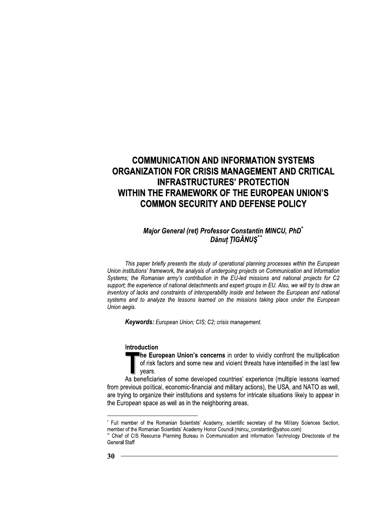## Major General (ret) Professor Constantin MINCU, PhD<sup>®</sup> Dănut TIGĂNUS\*

This paper briefly presents the study of operational planning processes within the European Union institutions' framework, the analysis of undergoing projects on Communication and Information Systems; the Romanian army's contribution in the EU-led missions and national projects for C2 support; the experience of national detachments and expert groups in EU. Also, we will try to draw an inventory of lacks and constraints of interoperability inside and between the European and national systems and to analyze the lessons learned on the missions taking place under the European Union aegis.

**Keywords:** European Union: CIS: C2: crisis management.

#### Introduction

The European Union's concerns in order to vividly confront the multiplication of risk factors and some new and violent threats have intensified in the last few vears.

As beneficiaries of some developed countries' experience (multiple lessons learned from previous political, economic-financial and military actions), the USA, and NATO as well, are trying to organize their institutions and systems for intricate situations likely to appear in the European space as well as in the neighboring areas.

<sup>\*</sup> Full member of the Romanian Scientists' Academy, scientific secretary of the Military Sciences Section, member of the Romanian Scientists' Academy Honor Council (mincu\_constantin@yahoo.com)

Chief of CIS Resource Planning Bureau in Communication and Information Technology Directorate of the **General Staff**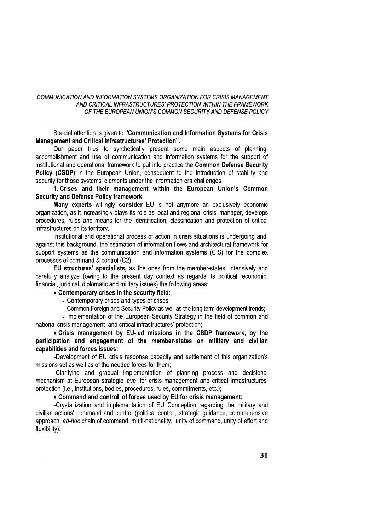Special attention is given to "Communication and Information Systems for Crisis Management and Critical Infrastructures' Protection".

Our paper tries to synthetically present some main aspects of planning. accomplishment and use of communication and information systems for the support of institutional and operational framework to put into practice the Common Defense Security Policy (CSDP) in the European Union, consequent to the introduction of stability and security for those systems' elements under the information era challenges.

1. Crises and their management within the European Union's Common **Security and Defense Policy framework** 

Many experts willingly consider EU is not anymore an exclusively economic organization, as it increasingly plays its role as local and regional crisis' manager, develops procedures, rules and means for the identification, classification and protection of critical infrastructures on its territory.

Institutional and operational process of action in crisis situations is undergoing and, against this background, the estimation of information flows and architectural framework for support systems as the communication and information systems (CIS) for the complex processes of command & control (C2).

EU structures' specialists, as the ones from the member-states, intensively and carefully analyze (owing to the present day context as regards its political, economic, financial, juridical, diplomatic and military issues) the following areas:

#### • Contemporary crises in the security field:

- Contemporary crises and types of crises:
- Common Foreign and Security Policy as well as the long term development trends:

- Implementation of the European Security Strategy in the field of common and national crisis management and critical infrastructures' protection;

• Crisis management by EU-led missions in the CSDP framework, by the participation and engagement of the member-states on military and civilian capabilities and forces issues:

-Development of EU crisis response capacity and settlement of this organization's missions set as well as of the needed forces for them;

-Clarifying and gradual implementation of planning process and decisional mechanism at European strategic level for crisis management and critical infrastructures' protection (i.e., institutions, bodies, procedures, rules, commitments, etc.);

## • Command and control of forces used by EU for crisis management:

-Crystallization and implementation of EU Conception regarding the military and civilian actions' command and control (political control, strategic quidance, comprehensive approach, ad-hoc chain of command, multi-nationality, unity of command, unity of effort and flexibility);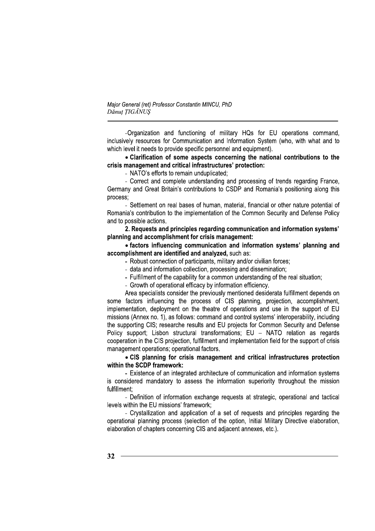Maior General (ret) Professor Constantin MINCU, PhD Dănut TIGĂNUS

-Organization and functioning of military HQs for EU operations command, inclusively resources for Communication and Information System (who, with what and to which level it needs to provide specific personnel and equipment).

## • Clarification of some aspects concerning the national contributions to the crisis management and critical infrastructures' protection:

- NATO's efforts to remain unduplicated;

- Correct and complete understanding and processing of trends regarding France, Germany and Great Britain's contributions to CSDP and Romania's positioning along this process:

- Settlement on real bases of human, material, financial or other nature potential of Romania's contribution to the implementation of the Common Security and Defense Policy and to possible actions.

2. Requests and principles regarding communication and information systems' planning and accomplishment for crisis management:

• factors influencing communication and information systems' planning and accomplishment are identified and analyzed, such as:

- Robust connection of participants, military and/or civilian forces;
- data and information collection, processing and dissemination;
- Fulfillment of the capability for a common understanding of the real situation;
- Growth of operational efficacy by information efficiency.

Area specialists consider the previously mentioned desiderata fulfillment depends on some factors influencing the process of CIS planning, projection, accomplishment, implementation, deployment on the theatre of operations and use in the support of EU missions (Annex no. 1), as follows: command and control systems' interoperability, including the supporting CIS; researche results and EU projects for Common Security and Defense Policy support; Lisbon structural transformations; EU - NATO relation as regards cooperation in the CIS projection, fulfillment and implementation field for the support of crisis management operations; operational factors.

• CIS planning for crisis management and critical infrastructures protection within the SCDP framework:

- Existence of an integrated architecture of communication and information systems is considered mandatory to assess the information superiority throughout the mission fulfillment:

- Definition of information exchange requests at strategic, operational and tactical levels within the EU missions' framework:

- Crystallization and application of a set of requests and principles regarding the operational planning process (selection of the option, Initial Military Directive elaboration, elaboration of chapters concerning CIS and adjacent annexes, etc.).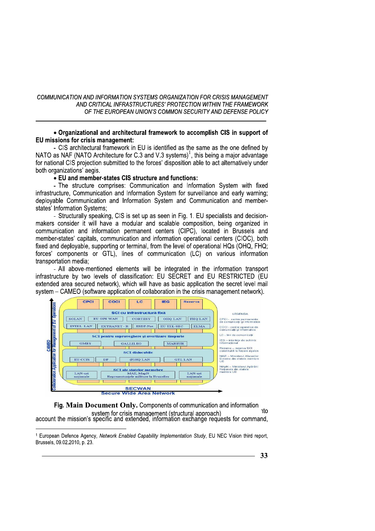#### • Organizational and architectural framework to accomplish CIS in support of EU missions for crisis management:

- CIS architectural framework in EU is identified as the same as the one defined by NATO as NAF (NATO Architecture for C.3 and V.3 systems)<sup>1</sup>, this being a major advantage for national CIS projection submitted to the forces' disposition able to act alternatively under both organizations' aegis.

• EU and member-states CIS structure and functions:

- The structure comprises: Communication and Information System with fixed infrastructure. Communication and Information System for surveillance and early warning: deployable Communication and Information System and Communication and memberstates' Information Systems:

- Structurally speaking, CIS is set up as seen in Fig. 1. EU specialists and decisionmakers consider it will have a modular and scalable composition, being organized in communication and information permanent centers (CIPC), located in Brussels and member-states' capitals, communication and information operational centers (CIOC), both fixed and deployable, supporting or terminal, from the level of operational HOs (OHO, FHO: forces' components or GTL), lines of communication (LC) on various information transportation media:

- All above-mentioned elements will be integrated in the information transport infrastructure by two levels of classification: EU SECRET and EU RESTRICTED (EU extended area secured network), which will have as basic application the secret level mail system – CAMEO (software application of collaboration in the crisis management network).



Fig. Main Document Only. Components of communication and information **nto** system for crisis management (structural approach) account the mission's specific and extended, information exchange requests for command,

<sup>&</sup>lt;sup>1</sup> European Defence Agency, Network Enabled Capability Implementation Study, EU NEC Vision third report, Brussels, 09.02.2010, p. 23.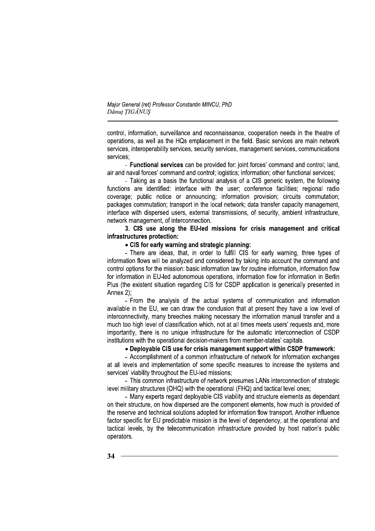Maior General (ret) Professor Constantin MINCU, PhD Dănut TIGĂNUS

control, information, surveillance and reconnaissance, cooperation needs in the theatre of operations, as well as the HQs emplacement in the field. Basic services are main network services, interoperability services, security services, management services, communications services:

- Functional services can be provided for: joint forces' command and control: land. air and naval forces' command and control; logistics; information; other functional services;

- Taking as a basis the functional analysis of a CIS generic system, the following functions are identified: interface with the user; conference facilities; regional radio coverage; public notice or announcing; information provision; circuits commutation; packages commutation; transport in the local network; data transfer capacity management, interface with dispersed users, external transmissions, of security, ambient infrastructure, network management, of interconnection.

3. CIS use along the EU-led missions for crisis management and critical infrastructures protection:

#### • CIS for early warning and strategic planning:

- There are ideas, that, in order to fulfill CIS for early warning, three types of information flows will be analyzed and considered by taking into account the command and control options for the mission: basic information law for routine information, information flow for information in EU-led autonomous operations, information flow for information in Berlin Plus (the existent situation regarding CIS for CSDP application is generically presented in Annex 2);

- From the analysis of the actual systems of communication and information available in the EU, we can draw the conclusion that at present they have a low level of interconnectivity, many breeches making necessary the information manual transfer and a much too high level of classification which, not at all times meets users' requests and, more importantly, there is no unique infrastructure for the automatic interconnection of CSDP institutions with the operational decision-makers from member-states' capitals.

#### • Deplovable CIS use for crisis management support within CSDP framework:

- Accomplishment of a common infrastructure of network for information exchanges at all levels and implementation of some specific measures to increase the systems and services' viability throughout the EU-led missions;

- This common infrastructure of network presumes LANs interconnection of strategic level military structures (OHQ) with the operational (FHQ) and tactical level ones;

- Many experts regard deployable CIS viability and structure elements as dependant on their structure, on how dispersed are the component elements, how much is provided of the reserve and technical solutions adopted for information flow transport. Another influence factor specific for EU predictable mission is the level of dependency, at the operational and tactical levels, by the telecommunication infrastructure provided by host nation's public operators.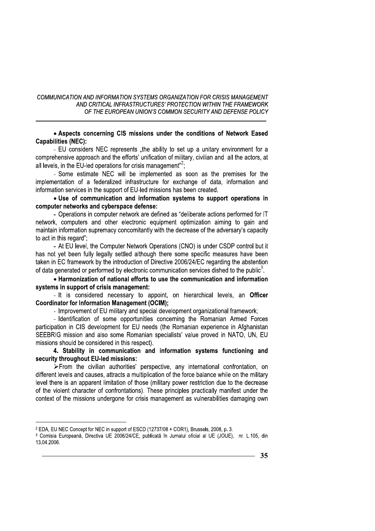#### • Aspects concerning CIS missions under the conditions of Network Eased **Capabilities (NEC):**

- EU considers NEC represents "the ability to set up a unitary environment for a comprehensive approach and the efforts' unification of military, civilian and all the actors, at all levels, in the EU-led operations for crisis management"<sup>2</sup>;

- Some estimate NEC will be implemented as soon as the premises for the implementation of a federalized infrastructure for exchange of data, information and information services in the support of EU-led missions has been created.

#### • Use of communication and information systems to support operations in computer networks and cyberspace defense:

- Operations in computer network are defined as "deliberate actions performed for IT network, computers and other electronic equipment optimization aiming to gain and maintain information supremacy concomitantly with the decrease of the adversary's capacity to act in this regard";

- At EU level, the Computer Network Operations (CNO) is under CSDP control but it has not yet been fully legally settled although there some specific measures have been taken in EC framework by the introduction of Directive 2006/24/EC regarding the abstention of data generated or performed by electronic communication services dished to the public<sup>3</sup>.

• Harmonization of national efforts to use the communication and information systems in support of crisis management:

- It is considered necessary to appoint, on hierarchical levels, an Officer **Coordinator for Information Management (OCIM):** 

- Improvement of EU military and special development organizational framework;

- Identification of some opportunities concerning the Romanian Armed Forces participation in CIS development for EU needs (the Romanian experience in Afghanistan SEEBRIG mission and also some Romanian specialists' value proved in NATO, UN, EU missions should be considered in this respect).

4. Stability in communication and information systems functioning and security throughout EU-led missions:

>From the civilian authorities' perspective, any international confrontation, on different levels and causes, attracts a multiplication of the force balance while on the military level there is an apparent limitation of those (military power restriction due to the decrease of the violent character of confrontations). These principles practically manifest under the context of the missions undergone for crisis management as vulnerabilities damaging own

<sup>&</sup>lt;sup>2</sup> EDA, EU NEC Concept for NEC in support of ESCD (12737/08 + COR1), Brussels, 2008, p. 3.

<sup>3</sup> Comisia Europeană, Directiva UE 2006/24/CE, publicată în Jurnalul oficial al UE (JOUE), nr. L.105, din 13.04.2006.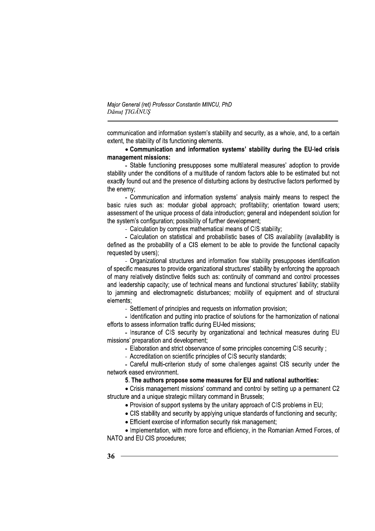Maior General (ret) Professor Constantin MINCU, PhD Dănut TIGĂNUS

communication and information system's stability and security, as a whole, and, to a certain extent, the stability of its functioning elements.

## • Communication and information systems' stability during the EU-led crisis management missions:

- Stable functioning presupposes some multilateral measures' adoption to provide stability under the conditions of a multitude of random factors able to be estimated but not exactly found out and the presence of disturbing actions by destructive factors performed by the enemy;

- Communication and information systems' analysis mainly means to respect the basic rules such as: modular global approach: profitability: orientation toward users: assessment of the unique process of data introduction; general and independent solution for the system's configuration; possibility of further development;

- Calculation by complex mathematical means of CIS stability;

- Calculation on statistical and probabilistic bases of CIS availability (availability is defined as the probability of a CIS element to be able to provide the functional capacity requested by users):

- Organizational structures and information flow stability presupposes identification of specific measures to provide organizational structures' stability by enforcing the approach of many relatively distinctive fields such as: continuity of command and control processes and leadership capacity; use of technical means and functional structures' liability; stability to jamming and electromagnetic disturbances; mobility of equipment and of structural elements:

- Settlement of principles and requests on information provision:

- Identification and putting into practice of solutions for the harmonization of national efforts to assess information traffic during EU-led missions;

- Insurance of CIS security by organizational and technical measures during EU missions' preparation and development;

- Elaboration and strict observance of some principles concerning CIS security;
- Accreditation on scientific principles of CIS security standards;

- Careful multi-criterion study of some challenges against CIS security under the network eased environment.

#### 5. The authors propose some measures for EU and national authorities:

• Crisis management missions' command and control by setting up a permanent C2 structure and a unique strategic military command in Brussels;

- . Provision of support systems by the unitary approach of CIS problems in EU:
- CIS stability and security by applying unique standards of functioning and security;
- Efficient exercise of information security risk management;

• Implementation, with more force and efficiency, in the Romanian Armed Forces, of NATO and EU CIS procedures;

36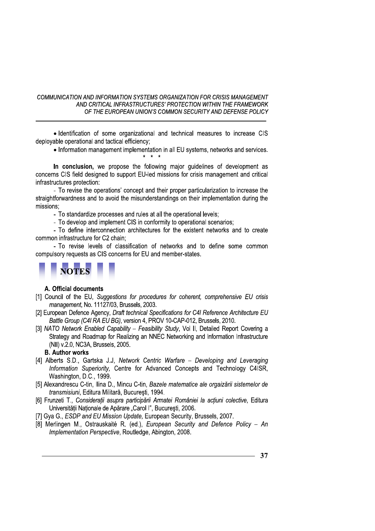· Identification of some organizational and technical measures to increase CIS deployable operational and tactical efficiency;

• Information management implementation in all EU systems, networks and services.

In conclusion, we propose the following major quidelines of development as concerns CIS field designed to support EU-led missions for crisis management and critical infrastructures protection:

- To revise the operations' concept and their proper particularization to increase the straightforwardness and to avoid the misunderstandings on their implementation during the missions:

- To standardize processes and rules at all the operational levels;

- To develop and implement CIS in conformity to operational scenarios;

- To define interconnection architectures for the existent networks and to create common infrastructure for C2 chain:

- To revise levels of classification of networks and to define some common compulsory requests as CIS concerns for EU and member-states.



#### A. Official documents

- [1] Council of the EU, Suggestions for procedures for coherent, comprehensive EU crisis management, No. 11127/03, Brussels, 2003.
- [2] European Defence Agency, Draft technical Specifications for C4I Reference Architecture EU Battle Group (C4I RA EU BG), version 4, PROV 10-CAP-012, Brussels, 2010.
- [3] NATO Network Enabled Capability Feasibility Study, Vol II, Detailed Report Covering a Strategy and Roadmap for Realizing an NNEC Networking and Information Infrastructure (NII) v.2.0, NC3A, Brussels, 2005.

**B.** Author works

- [4] Alberts S.D., Gartska J.J, Network Centric Warfare Developing and Leveraging Information Superiority, Centre for Advanced Concepts and Technology C4ISR, Washington, D.C., 1999.
- [5] Alexandrescu C-tin, Ilina D., Mincu C-tin, Bazele matematice ale orgaizării sistemelor de transmisiuni. Editura Militară. Bucuresti. 1994.
- [6] Frunzeti T., Consideratii asupra participării Armatei României la actiuni colective, Editura Universității Naționale de Apărare "Carol I", București, 2006.
- [7] Gya G., ESDP and EU Mission Update, European Security, Brussels, 2007.
- [8] Merlingen M., Ostrauskaité R. (ed.), European Security and Defence Policy An Implementation Perspective, Routledge, Abington, 2008.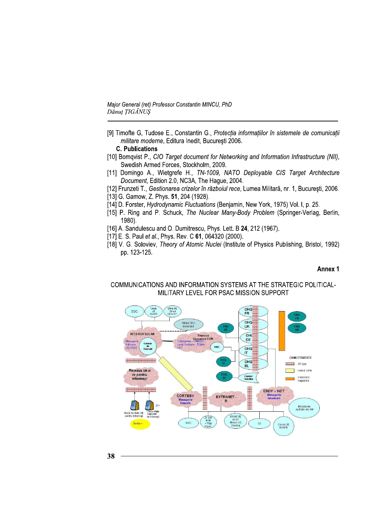Major General (ret) Professor Constantin MINCU, PhD Dănuț ȚIGĂNUS

- [9] Timofte G, Tudose E., Constantin G., Protecția informațiilor în sistemele de comunicații militare moderne, Editura Inedit, București 2006.
	- **C. Publications**
- [10] Bomqvist P., CIO Target document for Networking and Information Infrastructure (NII), Swedish Armed Forces, Stockholm, 2009.
- [11] Domingo A., Wietgrefe H., TN-1009, NATO Deployable CIS Target Architecture Document, Edition 2.0, NC3A, The Hague, 2004.
- [12] Frunzeti T., Gestionarea crizelor în războiul rece, Lumea Militară, nr. 1, București, 2006.
- [13] G. Gamow, Z. Phys. 51, 204 (1928).
- [14] D. Forster, Hydrodynamic Fluctuations (Benjamin, New York, 1975) Vol. I, p. 25.
- [15] P. Ring and P. Schuck, The Nuclear Many-Body Problem (Springer-Verlag, Berlin, 1980).
- [16] A. Sandulescu and O. Dumitrescu, Phys. Lett. B 24, 212 (1967).
- [17] E. S. Paul et al., Phys. Rev. C 61, 064320 (2000).
- [18] V. G. Soloviev, Theory of Atomic Nuclei (Institute of Physics Publishing, Bristol, 1992) pp. 123-125.

#### Annex 1

## COMMUNICATIONS AND INFORMATION SYSTEMS AT THE STRATEGIC POLITICAL-MILITARY LEVEL FOR PSAC MISSION SUPPORT